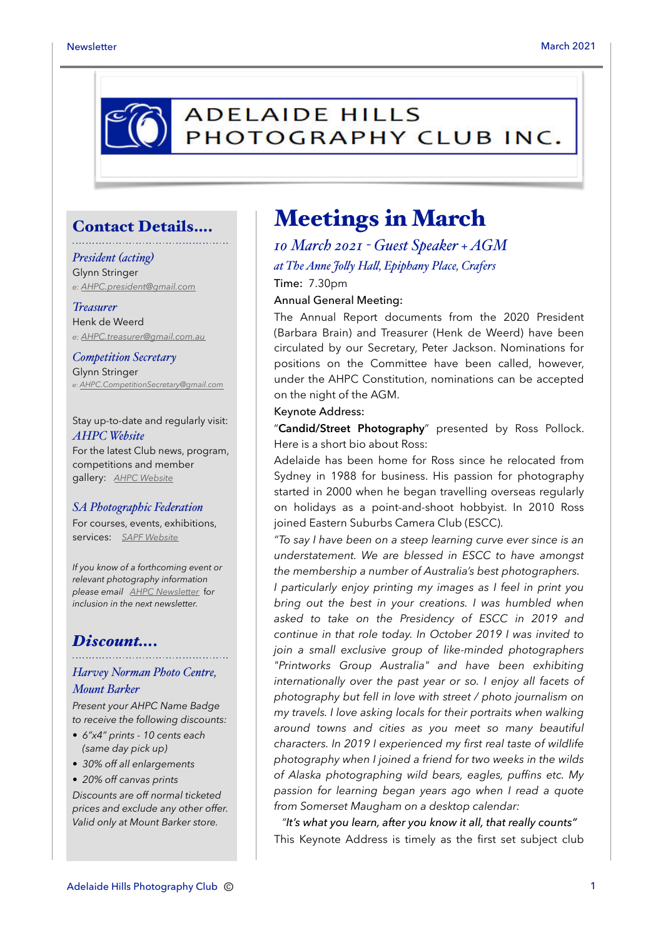# **ADELAIDE HILLS** PHOTOGRAPHY CLUB INC.

## Contact Details….

### *President (acting)*

Glynn Stringer *e: [AHPC.president@gmail.com](mailto:AHPC.president@gmail.com)*

## *Treasurer*

Henk de Weerd *e: [AHPC.treasurer@gmail.com.au](mailto:AHPC.treasurer@gmail.com.au)*

*Competition Secretary* Glynn Stringer *e: [AHPC.CompetitionSecretary@gmail.com](mailto:AHPC.CompetitionSecretary@gmail.com)*

Stay up-to-date and regularly visit: *AHPC Website* For the latest Club news, program, competitions and member gallery: *[AHPC Website](http://www.adelaidehillsphotographyclub.com.au)*

#### *SA Photographic Federation*

For courses, events, exhibitions, services: *[SAPF Website](https://www.sapf.org.au)*

*If you know of a forthcoming event or relevant photography information please email [AHPC Newsletter](mailto:paulaphotoclick@gmail.com)* f*or inclusion in the next newsletter.* 

# *Discount….*

## *Harvey Norman Photo Centre, Mount Barker*

*Present your AHPC Name Badge to receive the following discounts:* 

- *6"x4" prints 10 cents each (same day pick up)*
- *30% off all enlargements*
- *20% off canvas prints*

*Discounts are off normal ticketed prices and exclude any other offer. Valid only at Mount Barker store.*

# Meetings in March

*10 March 2021 - Guest Speaker + AGM at The Anne Joly Hal, Epiphany Place, Crafers* Time: 7.30pm

Annual General Meeting:

The Annual Report documents from the 2020 President (Barbara Brain) and Treasurer (Henk de Weerd) have been circulated by our Secretary, Peter Jackson. Nominations for positions on the Committee have been called, however, under the AHPC Constitution, nominations can be accepted on the night of the AGM.

Keynote Address:

"**Candid/Street Photography**" presented by Ross Pollock. Here is a short bio about Ross:

Adelaide has been home for Ross since he relocated from Sydney in 1988 for business. His passion for photography started in 2000 when he began travelling overseas regularly on holidays as a point-and-shoot hobbyist. In 2010 Ross joined Eastern Suburbs Camera Club (ESCC).

*"To say I have been on a steep learning curve ever since is an understatement. We are blessed in ESCC to have amongst the membership a number of Australia's best photographers.* 

*I particularly enjoy printing my images as I feel in print you bring out the best in your creations. I was humbled when asked to take on the Presidency of ESCC in 2019 and continue in that role today. In October 2019 I was invited to join a small exclusive group of like-minded photographers "Printworks Group Australia" and have been exhibiting internationally over the past year or so. I enjoy all facets of photography but fell in love with street / photo journalism on my travels. I love asking locals for their portraits when walking around towns and cities as you meet so many beautiful characters. In 2019 I experienced my first real taste of wildlife photography when I joined a friend for two weeks in the wilds of Alaska photographing wild bears, eagles, puffins etc. My passion for learning began years ago when I read a quote from Somerset Maugham on a desktop calendar:* 

*"It's what you learn, after you know it all, that really counts"* This Keynote Address is timely as the first set subject club